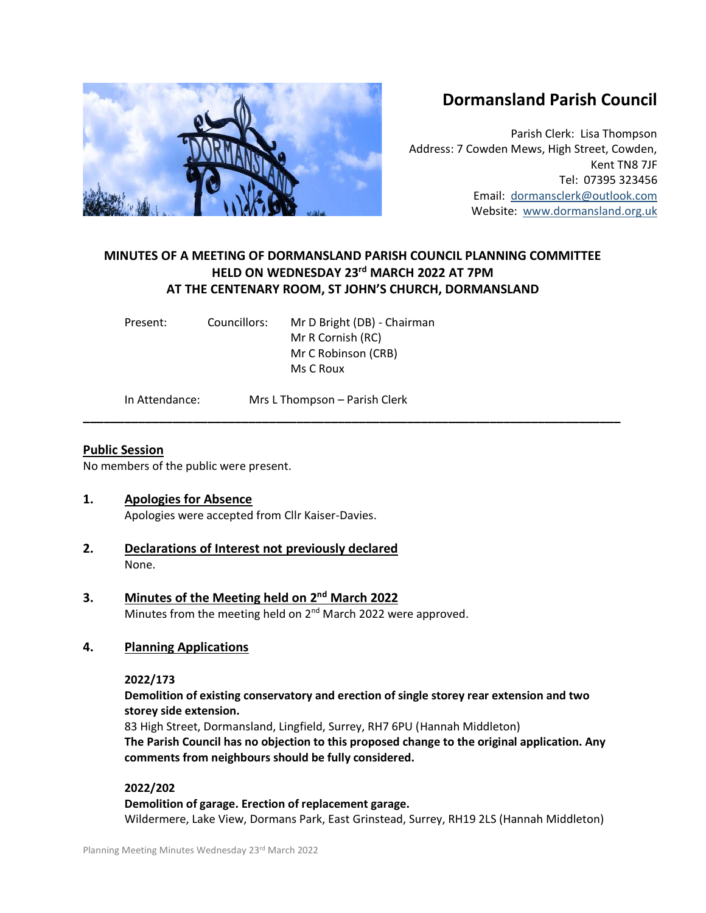# **Dormansland Parish Council**

Parish Clerk: Lisa Thompson Address: 7 Cowden Mews, High Street, Cowden, Kent TN8 7JF Tel: 07395 323456 Email: [dormansclerk@outlook.com](mailto:dormansclerk@outlook.com) Website: [www.dormansland.org.uk](http://www.dormansland.org.uk/)

# **MINUTES OF A MEETING OF DORMANSLAND PARISH COUNCIL PLANNING COMMITTEE HELD ON WEDNESDAY 23rd MARCH 2022 AT 7PM AT THE CENTENARY ROOM, ST JOHN'S CHURCH, DORMANSLAND**

**\_\_\_\_\_\_\_\_\_\_\_\_\_\_\_\_\_\_\_\_\_\_\_\_\_\_\_\_\_\_\_\_\_\_\_\_\_\_\_\_\_\_\_\_\_\_\_\_\_\_\_\_\_\_\_\_\_\_\_\_\_\_\_\_\_\_\_\_\_\_\_\_\_\_\_\_\_\_**

| Present: | Councillors: | Mr D Bright (DB) - Chairman |
|----------|--------------|-----------------------------|
|          |              | Mr R Cornish (RC)           |
|          |              | Mr C Robinson (CRB)         |
|          |              | Ms C Roux                   |
|          |              |                             |

In Attendance: Mrs L Thompson – Parish Clerk

### **Public Session**

No members of the public were present.

### **1. Apologies for Absence**

Apologies were accepted from Cllr Kaiser-Davies.

- **2. Declarations of Interest not previously declared** None.
- **3. Minutes of the Meeting held on 2<sup>nd</sup> March 2022** Minutes from the meeting held on 2<sup>nd</sup> March 2022 were approved.

### **4. Planning Applications**

### **2022/173**

### **Demolition of existing conservatory and erection of single storey rear extension and two storey side extension.**

83 High Street, Dormansland, Lingfield, Surrey, RH7 6PU (Hannah Middleton) **The Parish Council has no objection to this proposed change to the original application. Any comments from neighbours should be fully considered.**

### **2022/202**

### **Demolition of garage. Erection of replacement garage.**

Wildermere, Lake View, Dormans Park, East Grinstead, Surrey, RH19 2LS (Hannah Middleton)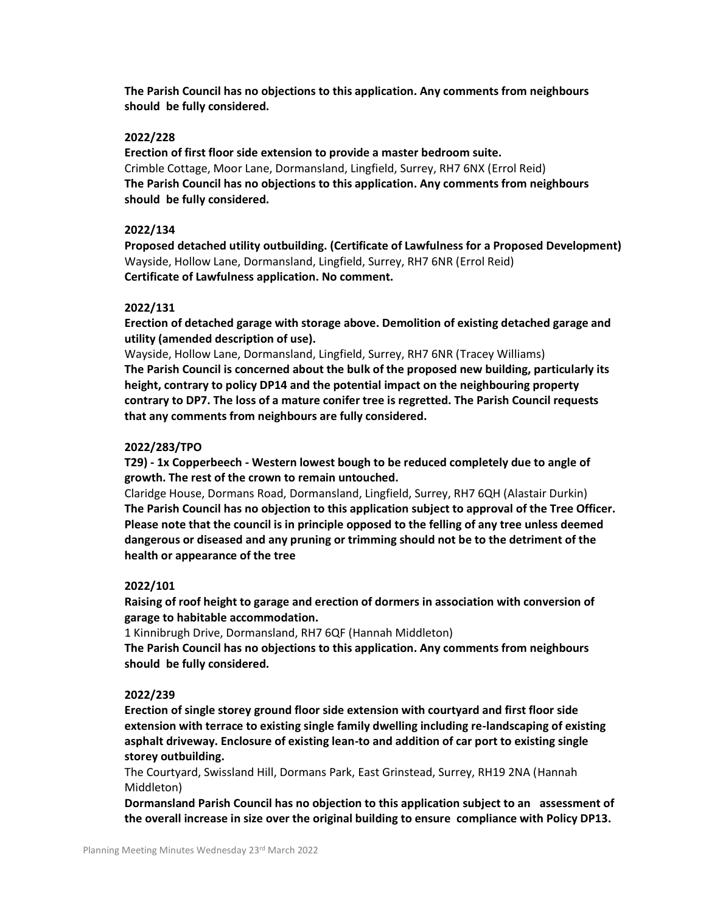**The Parish Council has no objections to this application. Any comments from neighbours should be fully considered.**

#### **2022/228**

**Erection of first floor side extension to provide a master bedroom suite.** Crimble Cottage, Moor Lane, Dormansland, Lingfield, Surrey, RH7 6NX (Errol Reid) **The Parish Council has no objections to this application. Any comments from neighbours should be fully considered.**

#### **2022/134**

**Proposed detached utility outbuilding. (Certificate of Lawfulness for a Proposed Development)** Wayside, Hollow Lane, Dormansland, Lingfield, Surrey, RH7 6NR (Errol Reid) **Certificate of Lawfulness application. No comment.**

#### **2022/131**

**Erection of detached garage with storage above. Demolition of existing detached garage and utility (amended description of use).**

Wayside, Hollow Lane, Dormansland, Lingfield, Surrey, RH7 6NR (Tracey Williams) **The Parish Council is concerned about the bulk of the proposed new building, particularly its height, contrary to policy DP14 and the potential impact on the neighbouring property contrary to DP7. The loss of a mature conifer tree is regretted. The Parish Council requests that any comments from neighbours are fully considered.**

#### **2022/283/TPO**

**T29) - 1x Copperbeech - Western lowest bough to be reduced completely due to angle of growth. The rest of the crown to remain untouched.**

Claridge House, Dormans Road, Dormansland, Lingfield, Surrey, RH7 6QH (Alastair Durkin) **The Parish Council has no objection to this application subject to approval of the Tree Officer. Please note that the council is in principle opposed to the felling of any tree unless deemed dangerous or diseased and any pruning or trimming should not be to the detriment of the health or appearance of the tree**

#### **2022/101**

**Raising of roof height to garage and erection of dormers in association with conversion of garage to habitable accommodation.**

1 Kinnibrugh Drive, Dormansland, RH7 6QF (Hannah Middleton)

**The Parish Council has no objections to this application. Any comments from neighbours should be fully considered.**

#### **2022/239**

**Erection of single storey ground floor side extension with courtyard and first floor side extension with terrace to existing single family dwelling including re-landscaping of existing asphalt driveway. Enclosure of existing lean-to and addition of car port to existing single storey outbuilding.**

The Courtyard, Swissland Hill, Dormans Park, East Grinstead, Surrey, RH19 2NA (Hannah Middleton)

**Dormansland Parish Council has no objection to this application subject to an assessment of the overall increase in size over the original building to ensure compliance with Policy DP13.**